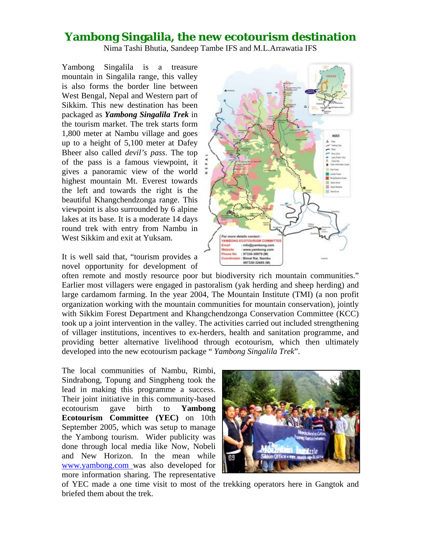## **Yambong Singalila, the new ecotourism destination**

Nima Tashi Bhutia, Sandeep Tambe IFS and M.L.Arrawatia IFS

Yambong Singalila is a treasure mountain in Singalila range, this valley is also forms the border line between West Bengal, Nepal and Western part of Sikkim. This new destination has been packaged as *Yambong Singalila Trek* in the tourism market. The trek starts form 1,800 meter at Nambu village and goes up to a height of 5,100 meter at Dafey Bheer also called *devil's pass*. The top of the pass is a famous viewpoint, it gives a panoramic view of the world highest mountain Mt. Everest towards the left and towards the right is the beautiful Khangchendzonga range. This viewpoint is also surrounded by 6 alpine lakes at its base. It is a moderate 14 days round trek with entry from Nambu in West Sikkim and exit at Yuksam.

It is well said that, "tourism provides a novel opportunity for development of

often remote and mostly resource poor but biodiversity rich mountain communities." Earlier most villagers were engaged in pastoralism (yak herding and sheep herding) and large cardamom farming. In the year 2004, The Mountain Institute (TMI) (a non profit organization working with the mountain communities for mountain conservation), jointly with Sikkim Forest Department and Khangchendzonga Conservation Committee (KCC) took up a joint intervention in the valley. The activities carried out included strengthening of villager institutions, incentives to ex-herders, health and sanitation programme, and providing better alternative livelihood through ecotourism, which then ultimately developed into the new ecotourism package " *Yambong Singalila Trek*".

The local communities of Nambu, Rimbi, Sindrabong, Topung and Singpheng took the lead in making this programme a success. Their joint initiative in this community-based ecotourism gave birth to **Yambong Ecotourism Committee (YEC)** on 10th September 2005, which was setup to manage the Yambong tourism. Wider publicity was done through local media like Now, Nobeli and New Horizon. In the mean while www.yambong.com was also developed for more information sharing. The representative



of YEC made a one time visit to most of the trekking operators here in Gangtok and briefed them about the trek.

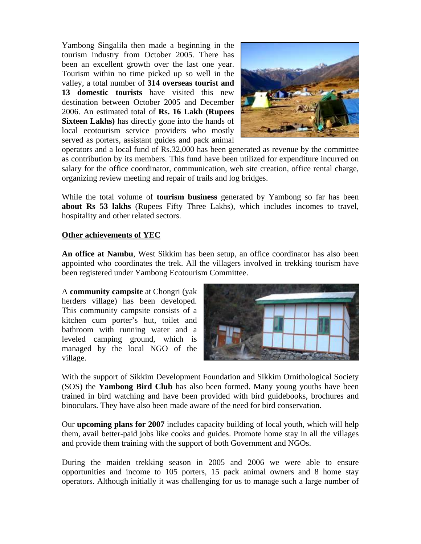Yambong Singalila then made a beginning in the tourism industry from October 2005. There has been an excellent growth over the last one year. Tourism within no time picked up so well in the valley, a total number of **314 overseas tourist and 13 domestic tourists** have visited this new destination between October 2005 and December 2006. An estimated total of **Rs. 16 Lakh (Rupees Sixteen Lakhs)** has directly gone into the hands of local ecotourism service providers who mostly served as porters, assistant guides and pack animal



operators and a local fund of Rs.32,000 has been generated as revenue by the committee as contribution by its members. This fund have been utilized for expenditure incurred on salary for the office coordinator, communication, web site creation, office rental charge, organizing review meeting and repair of trails and log bridges.

While the total volume of **tourism business** generated by Yambong so far has been **about Rs 53 lakhs** (Rupees Fifty Three Lakhs), which includes incomes to travel, hospitality and other related sectors.

## **Other achievements of YEC**

**An office at Nambu**, West Sikkim has been setup, an office coordinator has also been appointed who coordinates the trek. All the villagers involved in trekking tourism have been registered under Yambong Ecotourism Committee.

A **community campsite** at Chongri (yak herders village) has been developed. This community campsite consists of a kitchen cum porter's hut, toilet and bathroom with running water and a leveled camping ground, which is managed by the local NGO of the village.



With the support of Sikkim Development Foundation and Sikkim Ornithological Society (SOS) the **Yambong Bird Club** has also been formed. Many young youths have been trained in bird watching and have been provided with bird guidebooks, brochures and binoculars. They have also been made aware of the need for bird conservation.

Our **upcoming plans for 2007** includes capacity building of local youth, which will help them, avail better-paid jobs like cooks and guides. Promote home stay in all the villages and provide them training with the support of both Government and NGOs.

During the maiden trekking season in 2005 and 2006 we were able to ensure opportunities and income to 105 porters, 15 pack animal owners and 8 home stay operators. Although initially it was challenging for us to manage such a large number of